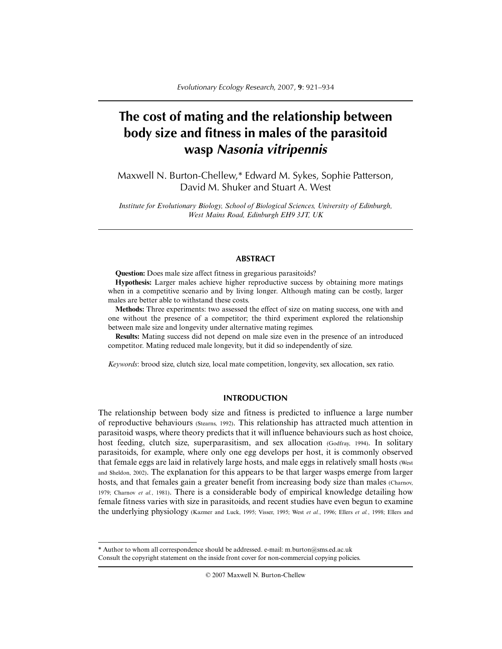# **The cost of mating and the relationship between body size and fitness in males of the parasitoid wasp** *Nasonia vitripennis*

Maxwell N. Burton-Chellew,\* Edward M. Sykes, Sophie Patterson, David M. Shuker and Stuart A. West

*Institute for Evolutionary Biology, School of Biological Sciences, University of Edinburgh, West Mains Road, Edinburgh EH9 3JT, UK*

## **ABSTRACT**

**Question:** Does male size affect fitness in gregarious parasitoids?

**Hypothesis:** Larger males achieve higher reproductive success by obtaining more matings when in a competitive scenario and by living longer. Although mating can be costly, larger males are better able to withstand these costs.

**Methods:** Three experiments: two assessed the effect of size on mating success, one with and one without the presence of a competitor; the third experiment explored the relationship between male size and longevity under alternative mating regimes.

**Results:** Mating success did not depend on male size even in the presence of an introduced competitor. Mating reduced male longevity, but it did so independently of size.

*Keywords*: brood size, clutch size, local mate competition, longevity, sex allocation, sex ratio.

# **INTRODUCTION**

The relationship between body size and fitness is predicted to influence a large number of reproductive behaviours (Stearns, 1992). This relationship has attracted much attention in parasitoid wasps, where theory predicts that it will influence behaviours such as host choice, host feeding, clutch size, superparasitism, and sex allocation (Godfray, 1994). In solitary parasitoids, for example, where only one egg develops per host, it is commonly observed that female eggs are laid in relatively large hosts, and male eggs in relatively small hosts (West and Sheldon, 2002). The explanation for this appears to be that larger wasps emerge from larger hosts, and that females gain a greater benefit from increasing body size than males (Charnov, 1979; Charnov *et al.*, 1981). There is a considerable body of empirical knowledge detailing how female fitness varies with size in parasitoids, and recent studies have even begun to examine the underlying physiology (Kazmer and Luck, 1995; Visser, 1995; West *et al.*, 1996; Ellers *et al.*, 1998; Ellers and

© 2007 Maxwell N. Burton-Chellew

<sup>\*</sup> Author to whom all correspondence should be addressed. e-mail: m.burton@sms.ed.ac.uk Consult the copyright statement on the inside front cover for non-commercial copying policies.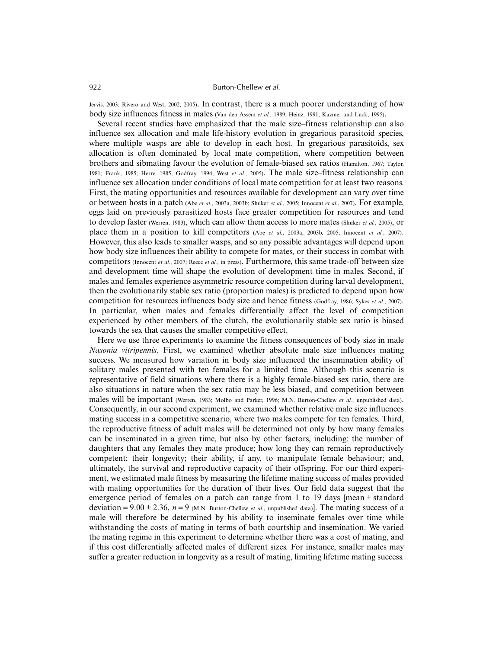Jervis, 2003; Rivero and West, 2002, 2005). In contrast, there is a much poorer understanding of how body size influences fitness in males (Van den Assem *et al.*, 1989; Heinz, 1991; Kazmer and Luck, 1995).

Several recent studies have emphasized that the male size–fitness relationship can also influence sex allocation and male life-history evolution in gregarious parasitoid species, where multiple wasps are able to develop in each host. In gregarious parasitoids, sex allocation is often dominated by local mate competition, where competition between brothers and sibmating favour the evolution of female-biased sex ratios (Hamilton, 1967; Taylor, 1981; Frank, 1985; Herre, 1985; Godfray, 1994; West *et al.*, 2005). The male size–fitness relationship can influence sex allocation under conditions of local mate competition for at least two reasons. First, the mating opportunities and resources available for development can vary over time or between hosts in a patch (Abe *et al.*, 2003a, 2003b; Shuker *et al.*, 2005; Innocent *et al.*, 2007). For example, eggs laid on previously parasitized hosts face greater competition for resources and tend to develop faster (Werren, 1983), which can allow them access to more mates (Shuker *et al.*, 2005), or place them in a position to kill competitors (Abe *et al.*, 2003a, 2003b, 2005; Innocent *et al.*, 2007). However, this also leads to smaller wasps, and so any possible advantages will depend upon how body size influences their ability to compete for mates, or their success in combat with competitors (Innocent *et al.*, 2007; Reece *et al.*, in press). Furthermore, this same trade-off between size and development time will shape the evolution of development time in males. Second, if males and females experience asymmetric resource competition during larval development, then the evolutionarily stable sex ratio (proportion males) is predicted to depend upon how competition for resources influences body size and hence fitness (Godfray, 1986; Sykes *et al.*, 2007). In particular, when males and females differentially affect the level of competition experienced by other members of the clutch, the evolutionarily stable sex ratio is biased towards the sex that causes the smaller competitive effect.

Here we use three experiments to examine the fitness consequences of body size in male *Nasonia vitripennis*. First, we examined whether absolute male size influences mating success. We measured how variation in body size influenced the insemination ability of solitary males presented with ten females for a limited time. Although this scenario is representative of field situations where there is a highly female-biased sex ratio, there are also situations in nature when the sex ratio may be less biased, and competition between males will be important (Werren, 1983; Molbo and Parker, 1996; M.N. Burton-Chellew *et al.*, unpublished data). Consequently, in our second experiment, we examined whether relative male size influences mating success in a competitive scenario, where two males compete for ten females. Third, the reproductive fitness of adult males will be determined not only by how many females can be inseminated in a given time, but also by other factors, including: the number of daughters that any females they mate produce; how long they can remain reproductively competent; their longevity; their ability, if any, to manipulate female behaviour; and, ultimately, the survival and reproductive capacity of their offspring. For our third experiment, we estimated male fitness by measuring the lifetime mating success of males provided with mating opportunities for the duration of their lives. Our field data suggest that the emergence period of females on a patch can range from 1 to 19 days [mean ± standard deviation =  $9.00 \pm 2.36$ ,  $n = 9$  (M.N. Burton-Chellew *et al.*, unpublished data). The mating success of a male will therefore be determined by his ability to inseminate females over time while withstanding the costs of mating in terms of both courtship and insemination. We varied the mating regime in this experiment to determine whether there was a cost of mating, and if this cost differentially affected males of different sizes. For instance, smaller males may suffer a greater reduction in longevity as a result of mating, limiting lifetime mating success.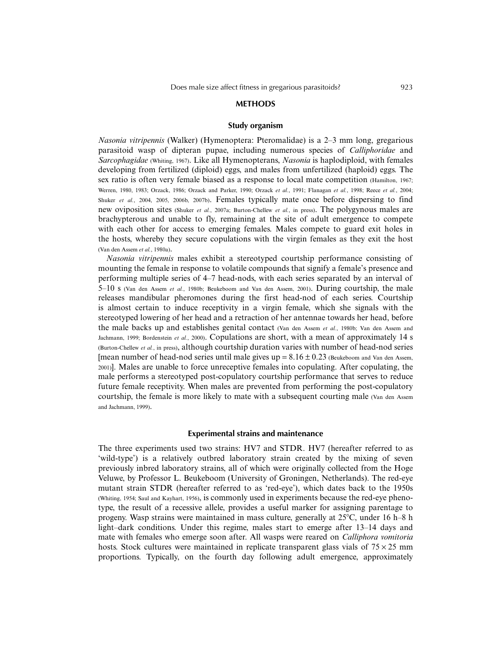#### **METHODS**

## **Study organism**

*Nasonia vitripennis* (Walker) (Hymenoptera: Pteromalidae) is a 2–3 mm long, gregarious parasitoid wasp of dipteran pupae, including numerous species of *Calliphoridae* and *Sarcophagidae* (Whiting, 1967). Like all Hymenopterans, *Nasonia* is haplodiploid, with females developing from fertilized (diploid) eggs, and males from unfertilized (haploid) eggs. The sex ratio is often very female biased as a response to local mate competition (Hamilton, 1967; Werren, 1980, 1983; Orzack, 1986; Orzack and Parker, 1990; Orzack *et al.*, 1991; Flanagan *et al.*, 1998; Reece *et al.*, 2004; Shuker *et al.*, 2004, 2005, 2006b, 2007b). Females typically mate once before dispersing to find new oviposition sites (Shuker *et al.*, 2007a; Burton-Chellew *et al.*, in press). The polygynous males are brachypterous and unable to fly, remaining at the site of adult emergence to compete with each other for access to emerging females. Males compete to guard exit holes in the hosts, whereby they secure copulations with the virgin females as they exit the host (Van den Assem *et al.*, 1980a).

*Nasonia vitripennis* males exhibit a stereotyped courtship performance consisting of mounting the female in response to volatile compounds that signify a female's presence and performing multiple series of 4–7 head-nods, with each series separated by an interval of 5–10 s (Van den Assem *et al.*, 1980b; Beukeboom and Van den Assem, 2001). During courtship, the male releases mandibular pheromones during the first head-nod of each series. Courtship is almost certain to induce receptivity in a virgin female, which she signals with the stereotyped lowering of her head and a retraction of her antennae towards her head, before the male backs up and establishes genital contact (Van den Assem *et al.*, 1980b; Van den Assem and Jachmann, 1999; Bordenstein *et al.*, 2000). Copulations are short, with a mean of approximately 14 s (Burton-Chellew *et al.*, in press), although courtship duration varies with number of head-nod series [mean number of head-nod series until male gives  $up = 8.16 \pm 0.23$  (Beukeboom and Van den Assem, 2001)]. Males are unable to force unreceptive females into copulating. After copulating, the male performs a stereotyped post-copulatory courtship performance that serves to reduce future female receptivity. When males are prevented from performing the post-copulatory courtship, the female is more likely to mate with a subsequent courting male (Van den Assem and Jachmann, 1999).

### **Experimental strains and maintenance**

The three experiments used two strains: HV7 and STDR. HV7 (hereafter referred to as 'wild-type') is a relatively outbred laboratory strain created by the mixing of seven previously inbred laboratory strains, all of which were originally collected from the Hoge Veluwe, by Professor L. Beukeboom (University of Groningen, Netherlands). The red-eye mutant strain STDR (hereafter referred to as 'red-eye'), which dates back to the 1950s (Whiting, 1954; Saul and Kayhart, 1956), is commonly used in experiments because the red-eye phenotype, the result of a recessive allele, provides a useful marker for assigning parentage to progeny. Wasp strains were maintained in mass culture, generally at  $25^{\circ}$ C, under 16 h–8 h light–dark conditions. Under this regime, males start to emerge after 13–14 days and mate with females who emerge soon after. All wasps were reared on *Calliphora vomitoria* hosts. Stock cultures were maintained in replicate transparent glass vials of  $75 \times 25$  mm proportions. Typically, on the fourth day following adult emergence, approximately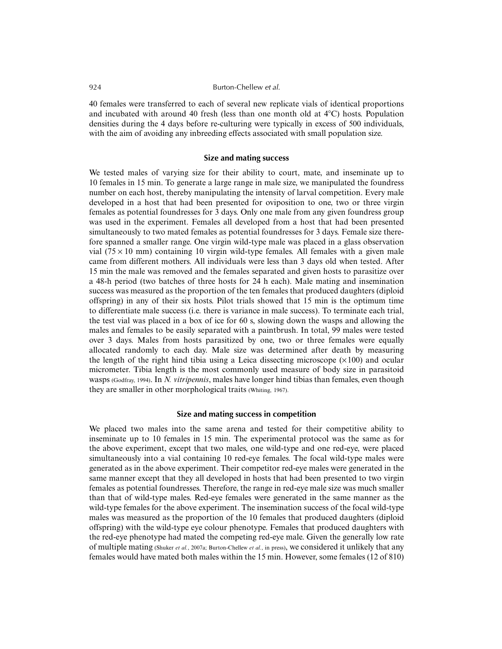40 females were transferred to each of several new replicate vials of identical proportions and incubated with around 40 fresh (less than one month old at  $4^{\circ}$ C) hosts. Population densities during the 4 days before re-culturing were typically in excess of 500 individuals, with the aim of avoiding any inbreeding effects associated with small population size.

#### **Size and mating success**

We tested males of varying size for their ability to court, mate, and inseminate up to 10 females in 15 min. To generate a large range in male size, we manipulated the foundress number on each host, thereby manipulating the intensity of larval competition. Every male developed in a host that had been presented for oviposition to one, two or three virgin females as potential foundresses for 3 days. Only one male from any given foundress group was used in the experiment. Females all developed from a host that had been presented simultaneously to two mated females as potential foundresses for 3 days. Female size therefore spanned a smaller range. One virgin wild-type male was placed in a glass observation vial ( $75 \times 10$  mm) containing 10 virgin wild-type females. All females with a given male came from different mothers. All individuals were less than 3 days old when tested. After 15 min the male was removed and the females separated and given hosts to parasitize over a 48-h period (two batches of three hosts for 24 h each). Male mating and insemination success was measured as the proportion of the ten females that produced daughters (diploid offspring) in any of their six hosts. Pilot trials showed that 15 min is the optimum time to differentiate male success (i.e. there is variance in male success). To terminate each trial, the test vial was placed in a box of ice for 60 s, slowing down the wasps and allowing the males and females to be easily separated with a paintbrush. In total, 99 males were tested over 3 days. Males from hosts parasitized by one, two or three females were equally allocated randomly to each day. Male size was determined after death by measuring the length of the right hind tibia using a Leica dissecting microscope  $(\times 100)$  and ocular micrometer. Tibia length is the most commonly used measure of body size in parasitoid wasps (Godfray, 1994). In *N. vitripennis*, males have longer hind tibias than females, even though they are smaller in other morphological traits (Whiting, 1967).

## **Size and mating success in competition**

We placed two males into the same arena and tested for their competitive ability to inseminate up to 10 females in 15 min. The experimental protocol was the same as for the above experiment, except that two males, one wild-type and one red-eye, were placed simultaneously into a vial containing 10 red-eye females. The focal wild-type males were generated as in the above experiment. Their competitor red-eye males were generated in the same manner except that they all developed in hosts that had been presented to two virgin females as potential foundresses. Therefore, the range in red-eye male size was much smaller than that of wild-type males. Red-eye females were generated in the same manner as the wild-type females for the above experiment. The insemination success of the focal wild-type males was measured as the proportion of the 10 females that produced daughters (diploid offspring) with the wild-type eye colour phenotype. Females that produced daughters with the red-eye phenotype had mated the competing red-eye male. Given the generally low rate of multiple mating (Shuker *et al.*, 2007a; Burton-Chellew *et al.*, in press), we considered it unlikely that any females would have mated both males within the 15 min. However, some females (12 of 810)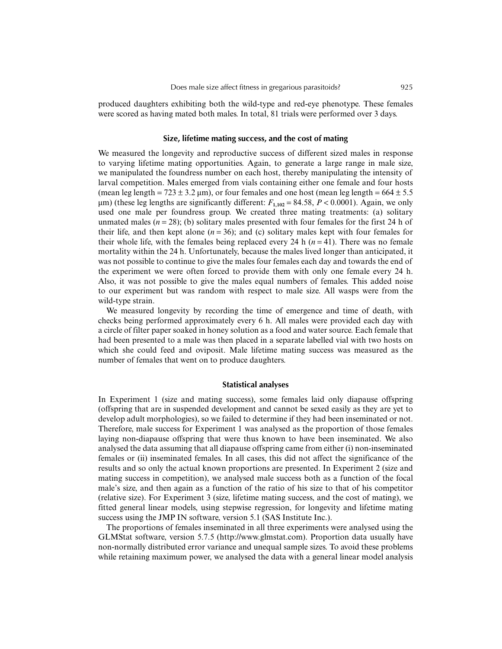produced daughters exhibiting both the wild-type and red-eye phenotype. These females were scored as having mated both males. In total, 81 trials were performed over 3 days.

#### **Size, lifetime mating success, and the cost of mating**

We measured the longevity and reproductive success of different sized males in response to varying lifetime mating opportunities. Again, to generate a large range in male size, we manipulated the foundress number on each host, thereby manipulating the intensity of larval competition. Males emerged from vials containing either one female and four hosts (mean leg length =  $723 \pm 3.2 \,\mu m$ ), or four females and one host (mean leg length =  $664 \pm 5.5$  $\mu$ m) (these leg lengths are significantly different:  $F_{1,102} = 84.58$ ,  $P < 0.0001$ ). Again, we only used one male per foundress group. We created three mating treatments: (a) solitary unmated males  $(n = 28)$ ; (b) solitary males presented with four females for the first 24 h of their life, and then kept alone  $(n = 36)$ ; and (c) solitary males kept with four females for their whole life, with the females being replaced every 24 h  $(n = 41)$ . There was no female mortality within the 24 h. Unfortunately, because the males lived longer than anticipated, it was not possible to continue to give the males four females each day and towards the end of the experiment we were often forced to provide them with only one female every 24 h. Also, it was not possible to give the males equal numbers of females. This added noise to our experiment but was random with respect to male size. All wasps were from the wild-type strain.

We measured longevity by recording the time of emergence and time of death, with checks being performed approximately every 6 h. All males were provided each day with a circle of filter paper soaked in honey solution as a food and water source. Each female that had been presented to a male was then placed in a separate labelled vial with two hosts on which she could feed and oviposit. Male lifetime mating success was measured as the number of females that went on to produce daughters.

#### **Statistical analyses**

In Experiment 1 (size and mating success), some females laid only diapause offspring (offspring that are in suspended development and cannot be sexed easily as they are yet to develop adult morphologies), so we failed to determine if they had been inseminated or not. Therefore, male success for Experiment 1 was analysed as the proportion of those females laying non-diapause offspring that were thus known to have been inseminated. We also analysed the data assuming that all diapause offspring came from either (i) non-inseminated females or (ii) inseminated females. In all cases, this did not affect the significance of the results and so only the actual known proportions are presented. In Experiment 2 (size and mating success in competition), we analysed male success both as a function of the focal male's size, and then again as a function of the ratio of his size to that of his competitor (relative size). For Experiment 3 (size, lifetime mating success, and the cost of mating), we fitted general linear models, using stepwise regression, for longevity and lifetime mating success using the JMP IN software, version 5.1 (SAS Institute Inc.).

The proportions of females inseminated in all three experiments were analysed using the GLMStat software, version 5.7.5 (http://www.glmstat.com). Proportion data usually have non-normally distributed error variance and unequal sample sizes. To avoid these problems while retaining maximum power, we analysed the data with a general linear model analysis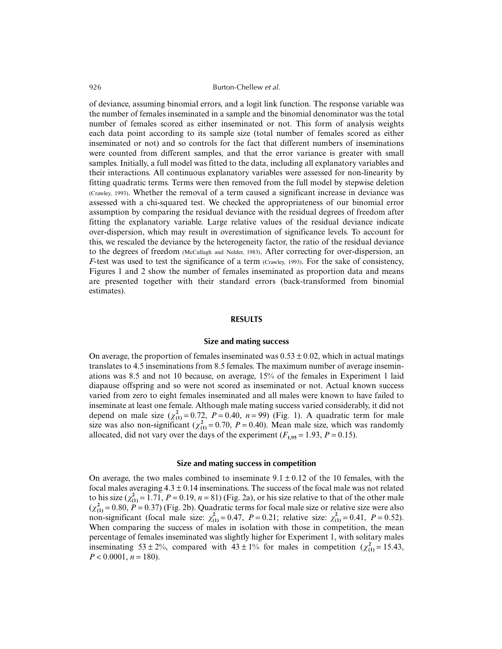of deviance, assuming binomial errors, and a logit link function. The response variable was the number of females inseminated in a sample and the binomial denominator was the total number of females scored as either inseminated or not. This form of analysis weights each data point according to its sample size (total number of females scored as either inseminated or not) and so controls for the fact that different numbers of inseminations were counted from different samples, and that the error variance is greater with small samples. Initially, a full model was fitted to the data, including all explanatory variables and their interactions. All continuous explanatory variables were assessed for non-linearity by fitting quadratic terms. Terms were then removed from the full model by stepwise deletion (Crawley, 1993). Whether the removal of a term caused a significant increase in deviance was assessed with a chi-squared test. We checked the appropriateness of our binomial error assumption by comparing the residual deviance with the residual degrees of freedom after fitting the explanatory variable. Large relative values of the residual deviance indicate over-dispersion, which may result in overestimation of significance levels. To account for this, we rescaled the deviance by the heterogeneity factor, the ratio of the residual deviance to the degrees of freedom (McCullagh and Nelder, 1983). After correcting for over-dispersion, an *F*-test was used to test the significance of a term (Crawley, 1993). For the sake of consistency, Figures 1 and 2 show the number of females inseminated as proportion data and means are presented together with their standard errors (back-transformed from binomial estimates).

#### **RESULTS**

#### **Size and mating success**

On average, the proportion of females inseminated was  $0.53 \pm 0.02$ , which in actual matings translates to 4.5 inseminations from 8.5 females. The maximum number of average inseminations was 8.5 and not 10 because, on average, 15% of the females in Experiment 1 laid diapause offspring and so were not scored as inseminated or not. Actual known success varied from zero to eight females inseminated and all males were known to have failed to inseminate at least one female. Although male mating success varied considerably, it did not depend on male size  $(\chi^2_{(1)} = 0.72, P = 0.40, n = 99)$  (Fig. 1). A quadratic term for male size was also non-significant ( $\chi^2_{(1)} = 0.70$ ,  $P = 0.40$ ). Mean male size, which was randomly allocated, did not vary over the days of the experiment ( $F_{1,95} = 1.93$ ,  $P = 0.15$ ).

## **Size and mating success in competition**

On average, the two males combined to inseminate  $9.1 \pm 0.12$  of the 10 females, with the focal males averaging  $4.3 \pm 0.14$  inseminations. The success of the focal male was not related to his size  $(\chi^2_{(1)} = 1.71, P = 0.19, n = 81)$  (Fig. 2a), or his size relative to that of the other male  $(\chi^2_{(1)} = 0.80, P = 0.37)$  (Fig. 2b). Quadratic terms for focal male size or relative size were also non-significant (focal male size:  $\chi^2_{(1)} = 0.47$ ,  $P = 0.21$ ; relative size:  $\chi^2_{(1)} = 0.41$ ,  $P = 0.52$ ). When comparing the success of males in isolation with those in competition, the mean percentage of females inseminated was slightly higher for Experiment 1, with solitary males inseminating  $53 \pm 2\%$ , compared with  $43 \pm 1\%$  for males in competition  $(\chi^2_{(1)} = 15.43)$ ,  $P < 0.0001$ ,  $n = 180$ ).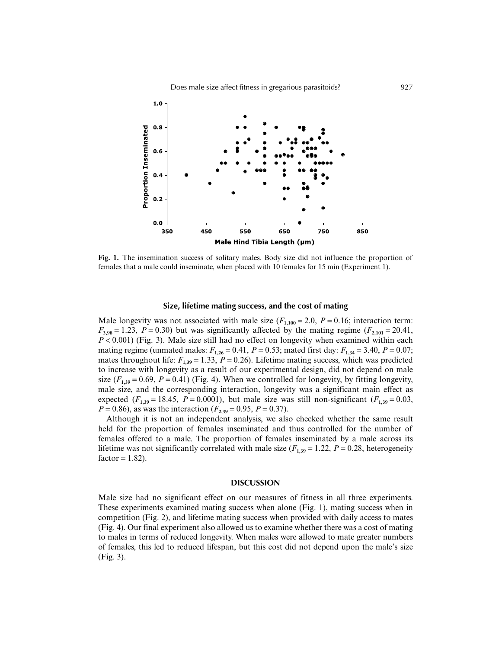

**Fig. 1.** The insemination success of solitary males. Body size did not influence the proportion of females that a male could inseminate, when placed with 10 females for 15 min (Experiment 1).

### **Size, lifetime mating success, and the cost of mating**

Male longevity was not associated with male size  $(F_{1,100} = 2.0, P = 0.16)$ ; interaction term:  $F_{3,98} = 1.23$ ,  $P = 0.30$ ) but was significantly affected by the mating regime ( $F_{2,101} = 20.41$ , *P* < 0.001) (Fig. 3). Male size still had no effect on longevity when examined within each mating regime (unmated males:  $F_{1,26} = 0.41$ ,  $P = 0.53$ ; mated first day:  $F_{1,34} = 3.40$ ,  $P = 0.07$ ; mates throughout life:  $F_{1,39} = 1.33$ ,  $P = 0.26$ ). Lifetime mating success, which was predicted to increase with longevity as a result of our experimental design, did not depend on male size  $(F_{1,39} = 0.69, P = 0.41)$  (Fig. 4). When we controlled for longevity, by fitting longevity, male size, and the corresponding interaction, longevity was a significant main effect as expected ( $F_{1,39} = 18.45$ ,  $P = 0.0001$ ), but male size was still non-significant ( $F_{1,39} = 0.03$ ,  $P = 0.86$ , as was the interaction ( $F_{2,39} = 0.95$ ,  $P = 0.37$ ).

Although it is not an independent analysis, we also checked whether the same result held for the proportion of females inseminated and thus controlled for the number of females offered to a male. The proportion of females inseminated by a male across its lifetime was not significantly correlated with male size  $(F_{1,39} = 1.22, P = 0.28$ , heterogeneity  $factor = 1.82$ .

## **DISCUSSION**

Male size had no significant effect on our measures of fitness in all three experiments. These experiments examined mating success when alone (Fig. 1), mating success when in competition (Fig. 2), and lifetime mating success when provided with daily access to mates (Fig. 4). Our final experiment also allowed us to examine whether there was a cost of mating to males in terms of reduced longevity. When males were allowed to mate greater numbers of females, this led to reduced lifespan, but this cost did not depend upon the male's size (Fig. 3).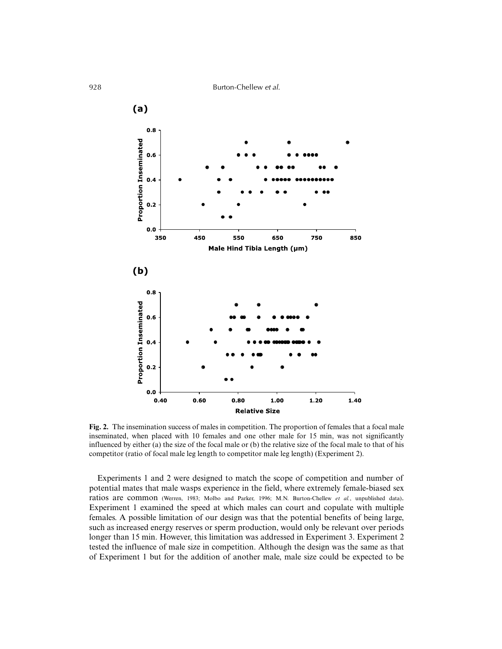

**Fig. 2.** The insemination success of males in competition. The proportion of females that a focal male inseminated, when placed with 10 females and one other male for 15 min, was not significantly influenced by either (a) the size of the focal male or (b) the relative size of the focal male to that of his competitor (ratio of focal male leg length to competitor male leg length) (Experiment 2).

Experiments 1 and 2 were designed to match the scope of competition and number of potential mates that male wasps experience in the field, where extremely female-biased sex ratios are common (Werren, 1983; Molbo and Parker, 1996; M.N. Burton-Chellew *et al.*, unpublished data). Experiment 1 examined the speed at which males can court and copulate with multiple females. A possible limitation of our design was that the potential benefits of being large, such as increased energy reserves or sperm production, would only be relevant over periods longer than 15 min. However, this limitation was addressed in Experiment 3. Experiment 2 tested the influence of male size in competition. Although the design was the same as that of Experiment 1 but for the addition of another male, male size could be expected to be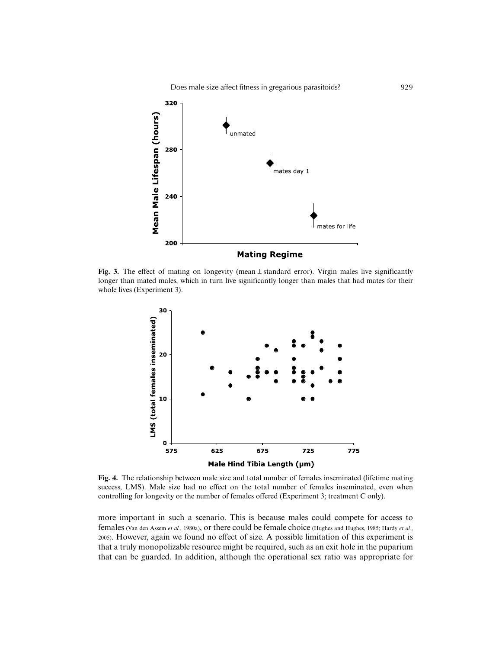Does male size affect fitness in gregarious parasitoids? 929



**Fig. 3.** The effect of mating on longevity (mean  $\pm$  standard error). Virgin males live significantly longer than mated males, which in turn live significantly longer than males that had mates for their whole lives (Experiment 3).



**Fig. 4.** The relationship between male size and total number of females inseminated (lifetime mating success, LMS). Male size had no effect on the total number of females inseminated, even when controlling for longevity or the number of females offered (Experiment 3; treatment C only).

more important in such a scenario. This is because males could compete for access to females (Van den Assem *et al.*, 1980a), or there could be female choice (Hughes and Hughes, 1985; Hardy *et al.*, 2005). However, again we found no effect of size. A possible limitation of this experiment is that a truly monopolizable resource might be required, such as an exit hole in the puparium that can be guarded. In addition, although the operational sex ratio was appropriate for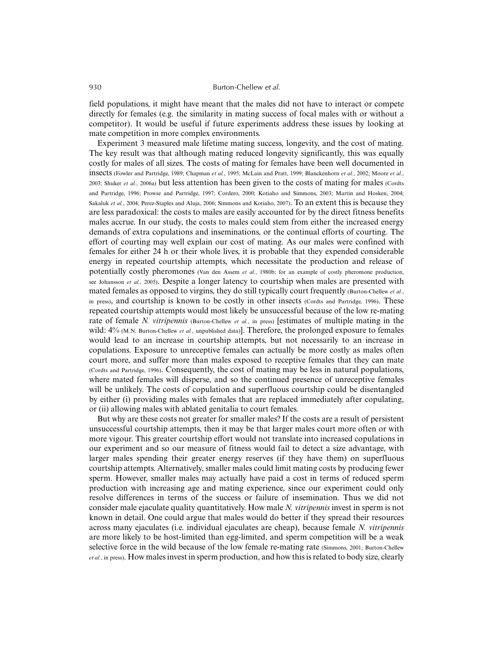field populations, it might have meant that the males did not have to interact or compete directly for females (e.g. the similarity in mating success of focal males with or without a competitor). It would be useful if future experiments address these issues by looking at mate competition in more complex environments.

Experiment 3 measured male lifetime mating success, longevity, and the cost of mating. The key result was that although mating reduced longevity significantly, this was equally costly for males of all sizes. The costs of mating for females have been well documented in insects (Fowler and Partridge, 1989; Chapman *et al.*, 1995; McLain and Pratt, 1999; Blanckenhorn *et al.*, 2002; Moore *et al.*, 2003; Shuker *et al.*, 2006a) but less attention has been given to the costs of mating for males (Cordts and Partridge, 1996; Prowse and Partridge, 1997; Cordero, 2000; Kotiaho and Simmons, 2003; Martin and Hosken, 2004; Sakaluk *et al.*, 2004; Perez-Staples and Aluja, 2006; Simmons and Kotiaho, 2007). To an extent this is because they are less paradoxical: the costs to males are easily accounted for by the direct fitness benefits males accrue. In our study, the costs to males could stem from either the increased energy demands of extra copulations and inseminations, or the continual efforts of courting. The effort of courting may well explain our cost of mating. As our males were confined with females for either 24 h or their whole lives, it is probable that they expended considerable energy in repeated courtship attempts, which necessitate the production and release of potentially costly pheromones (Van den Assem *et al.*, 1980b; for an example of costly pheromone production, see Johansson *et al.*, 2005). Despite a longer latency to courtship when males are presented with mated females as opposed to virgins, they do still typically court frequently (Burton-Chellew *et al.*, in press), and courtship is known to be costly in other insects (Cordts and Partridge, 1996). These repeated courtship attempts would most likely be unsuccessful because of the low re-mating rate of female *N. vitripennis* (Burton-Chellew *et al.*, in press) [estimates of multiple mating in the wild:  $4\%$  (M.N. Burton-Chellew *et al.*, unpublished data). Therefore, the prolonged exposure to females would lead to an increase in courtship attempts, but not necessarily to an increase in copulations. Exposure to unreceptive females can actually be more costly as males often court more, and suffer more than males exposed to receptive females that they can mate (Cordts and Partridge, 1996). Consequently, the cost of mating may be less in natural populations, where mated females will disperse, and so the continued presence of unreceptive females will be unlikely. The costs of copulation and superfluous courtship could be disentangled by either (i) providing males with females that are replaced immediately after copulating, or (ii) allowing males with ablated genitalia to court females.

But why are these costs not greater for smaller males? If the costs are a result of persistent unsuccessful courtship attempts, then it may be that larger males court more often or with more vigour. This greater courtship effort would not translate into increased copulations in our experiment and so our measure of fitness would fail to detect a size advantage, with larger males spending their greater energy reserves (if they have them) on superfluous courtship attempts. Alternatively, smaller males could limit mating costs by producing fewer sperm. However, smaller males may actually have paid a cost in terms of reduced sperm production with increasing age and mating experience, since our experiment could only resolve differences in terms of the success or failure of insemination. Thus we did not consider male ejaculate quality quantitatively. How male *N. vitripennis* invest in sperm is not known in detail. One could argue that males would do better if they spread their resources across many ejaculates (i.e. individual ejaculates are cheap), because female *N. vitripennis* are more likely to be host-limited than egg-limited, and sperm competition will be a weak selective force in the wild because of the low female re-mating rate (Simmons, 2001; Burton-Chellew *et al.*, in press). How males invest in sperm production, and how this is related to body size, clearly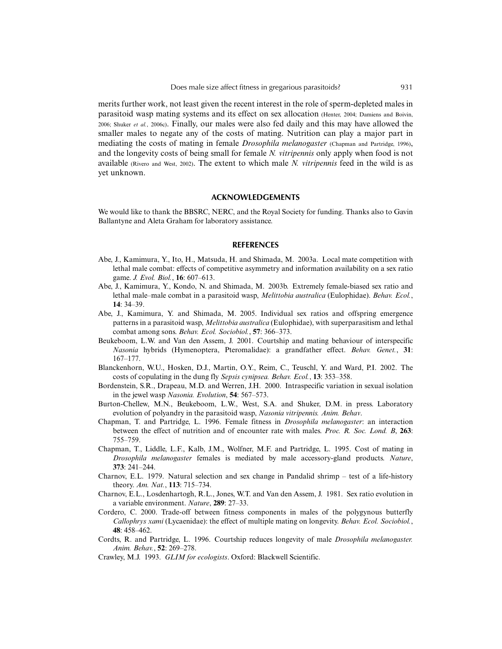merits further work, not least given the recent interest in the role of sperm-depleted males in parasitoid wasp mating systems and its effect on sex allocation (Henter, 2004; Damiens and Boivin, 2006; Shuker *et al.*, 2006c). Finally, our males were also fed daily and this may have allowed the smaller males to negate any of the costs of mating. Nutrition can play a major part in mediating the costs of mating in female *Drosophila melanogaster* (Chapman and Partridge, 1996), and the longevity costs of being small for female *N. vitripennis* only apply when food is not available (Rivero and West, 2002). The extent to which male *N. vitripennis* feed in the wild is as yet unknown.

# **ACKNOWLEDGEMENTS**

We would like to thank the BBSRC, NERC, and the Royal Society for funding. Thanks also to Gavin Ballantyne and Aleta Graham for laboratory assistance.

## **REFERENCES**

- Abe, J., Kamimura, Y., Ito, H., Matsuda, H. and Shimada, M. 2003a. Local mate competition with lethal male combat: effects of competitive asymmetry and information availability on a sex ratio game. *J. Evol. Biol.*, **16**: 607–613.
- Abe, J., Kamimura, Y., Kondo, N. and Shimada, M. 2003b. Extremely female-biased sex ratio and lethal male–male combat in a parasitoid wasp, *Melittobia australica* (Eulophidae). *Behav. Ecol.*, **14**: 34–39.
- Abe, J., Kamimura, Y. and Shimada, M. 2005. Individual sex ratios and offspring emergence patterns in a parasitoid wasp, *Melittobia australica* (Eulophidae), with superparasitism and lethal combat among sons. *Behav. Ecol. Sociobiol.*, **57**: 366–373.
- Beukeboom, L.W. and Van den Assem, J. 2001. Courtship and mating behaviour of interspecific *Nasonia* hybrids (Hymenoptera, Pteromalidae): a grandfather effect. *Behav. Genet.*, **31**: 167–177.
- Blanckenhorn, W.U., Hosken, D.J., Martin, O.Y., Reim, C., Teuschl, Y. and Ward, P.I. 2002. The costs of copulating in the dung fly *Sepsis cynipsea. Behav. Ecol.*, **13**: 353–358.
- Bordenstein, S.R., Drapeau, M.D. and Werren, J.H. 2000. Intraspecific variation in sexual isolation in the jewel wasp *Nasonia. Evolution*, **54**: 567–573.
- Burton-Chellew, M.N., Beukeboom, L.W., West, S.A. and Shuker, D.M. in press. Laboratory evolution of polyandry in the parasitoid wasp, *Nasonia vitripennis. Anim. Behav*.
- Chapman, T. and Partridge, L. 1996. Female fitness in *Drosophila melanogaster*: an interaction between the effect of nutrition and of encounter rate with males. *Proc. R. Soc. Lond. B*, **263**: 755–759.
- Chapman, T., Liddle, L.F., Kalb, J.M., Wolfner, M.F. and Partridge, L. 1995. Cost of mating in *Drosophila melanogaster* females is mediated by male accessory-gland products. *Nature*, **373**: 241–244.
- Charnov, E.L. 1979. Natural selection and sex change in Pandalid shrimp test of a life-history theory. *Am. Nat.*, **113**: 715–734.
- Charnov, E.L., Losdenhartogh, R.L., Jones, W.T. and Van den Assem, J. 1981. Sex ratio evolution in a variable environment. *Nature*, **289**: 27–33.
- Cordero, C. 2000. Trade-off between fitness components in males of the polygynous butterfly *Callophrys xami* (Lycaenidae): the effect of multiple mating on longevity. *Behav. Ecol. Sociobiol.*, **48**: 458–462.
- Cordts, R. and Partridge, L. 1996. Courtship reduces longevity of male *Drosophila melanogaster. Anim. Behav.*, **52**: 269–278.
- Crawley, M.J. 1993. *GLIM for ecologists*. Oxford: Blackwell Scientific.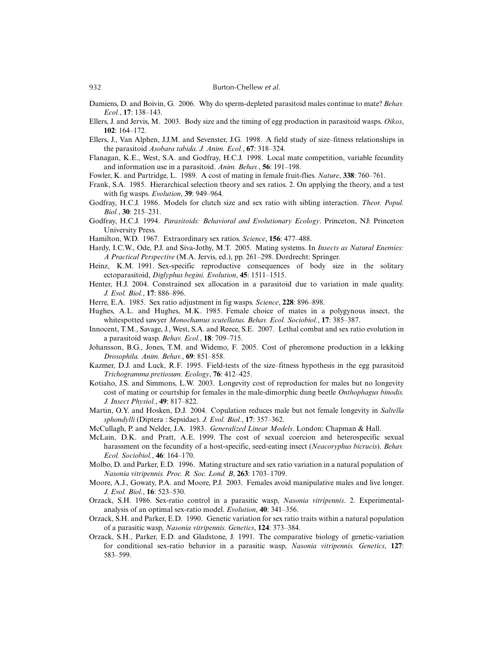- Damiens, D. and Boivin, G. 2006. Why do sperm-depleted parasitoid males continue to mate? *Behav. Ecol.*, **17**: 138–143.
- Ellers, J. and Jervis, M. 2003. Body size and the timing of egg production in parasitoid wasps. *Oikos*, **102**: 164–172.
- Ellers, J., Van Alphen, J.J.M. and Sevenster, J.G. 1998. A field study of size–fitness relationships in the parasitoid *Asobara tabida. J. Anim. Ecol.*, **67**: 318–324.
- Flanagan, K.E., West, S.A. and Godfray, H.C.J. 1998. Local mate competition, variable fecundity and information use in a parasitoid. *Anim. Behav.*, **56**: 191–198.
- Fowler, K. and Partridge, L. 1989. A cost of mating in female fruit-flies. *Nature*, **338**: 760–761.
- Frank, S.A. 1985. Hierarchical selection theory and sex ratios. 2. On applying the theory, and a test with fig wasps. *Evolution*, **39**: 949–964.
- Godfray, H.C.J. 1986. Models for clutch size and sex ratio with sibling interaction. *Theor. Popul. Biol.*, **30**: 215–231.
- Godfray, H.C.J. 1994. *Parasitoids: Behavioral and Evolutionary Ecology*. Princeton, NJ: Princeton University Press.
- Hamilton, W.D. 1967. Extraordinary sex ratios. *Science*, **156**: 477–488.
- Hardy, I.C.W., Ode, P.J. and Siva-Jothy, M.T. 2005. Mating systems. In *Insects as Natural Enemies: A Practical Perspective* (M.A. Jervis, ed.), pp. 261–298. Dordrecht: Springer.
- Heinz, K.M. 1991. Sex-specific reproductive consequences of body size in the solitary ectoparasitoid, *Diglyphus begini. Evolution*, **45**: 1511–1515.
- Henter, H.J. 2004. Constrained sex allocation in a parasitoid due to variation in male quality. *J. Evol. Biol.*, **17**: 886–896.
- Herre, E.A. 1985. Sex ratio adjustment in fig wasps. *Science*, **228**: 896–898.
- Hughes, A.L. and Hughes, M.K. 1985. Female choice of mates in a polygynous insect, the whitespotted sawyer *Monochamus scutellatus. Behav. Ecol. Sociobiol.*, **17**: 385–387.
- Innocent, T.M., Savage, J., West, S.A. and Reece, S.E. 2007. Lethal combat and sex ratio evolution in a parasitoid wasp. *Behav. Ecol.*, **18**: 709–715.
- Johansson, B.G., Jones, T.M. and Widemo, F. 2005. Cost of pheromone production in a lekking *Drosophila. Anim. Behav.*, **69**: 851–858.
- Kazmer, D.J. and Luck, R.F. 1995. Field-tests of the size–fitness hypothesis in the egg parasitoid *Trichogramma pretiosum. Ecology*, **76**: 412–425.
- Kotiaho, J.S. and Simmons, L.W. 2003. Longevity cost of reproduction for males but no longevity cost of mating or courtship for females in the male-dimorphic dung beetle *Onthophagus binodis. J. Insect Physiol.*, **49**: 817–822.
- Martin, O.Y. and Hosken, D.J. 2004. Copulation reduces male but not female longevity in *Saltella sphondylli* (Diptera : Sepsidae). *J. Evol. Biol.*, **17**: 357–362.
- McCullagh, P. and Nelder, J.A. 1983. *Generalized Linear Models*. London: Chapman & Hall.
- McLain, D.K. and Pratt, A.E. 1999. The cost of sexual coercion and heterospecific sexual harassment on the fecundity of a host-specific, seed-eating insect (*Neacoryphus bicrucis*). *Behav. Ecol. Sociobiol.*, **46**: 164–170.
- Molbo, D. and Parker, E.D. 1996. Mating structure and sex ratio variation in a natural population of *Nasonia vitripennis. Proc. R. Soc. Lond. B*, **263**: 1703–1709.
- Moore, A.J., Gowaty, P.A. and Moore, P.J. 2003. Females avoid manipulative males and live longer. *J. Evol. Biol.*, **16**: 523–530.
- Orzack, S.H. 1986. Sex-ratio control in a parasitic wasp, *Nasonia vitripennis*. 2. Experimentalanalysis of an optimal sex-ratio model. *Evolution*, **40**: 341–356.
- Orzack, S.H. and Parker, E.D. 1990. Genetic variation for sex ratio traits within a natural population of a parasitic wasp, *Nasonia vitripennis. Genetics*, **124**: 373–384.
- Orzack, S.H., Parker, E.D. and Gladstone, J. 1991. The comparative biology of genetic-variation for conditional sex-ratio behavior in a parasitic wasp, *Nasonia vitripennis. Genetics*, **127**: 583–599.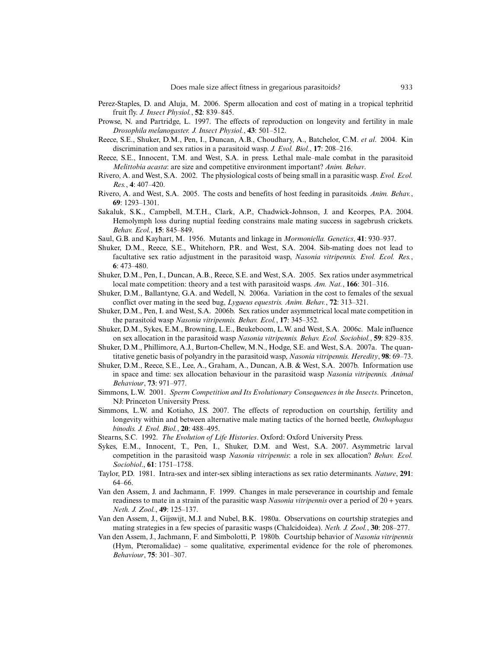- Perez-Staples, D. and Aluja, M. 2006. Sperm allocation and cost of mating in a tropical tephritid fruit fly. *J. Insect Physiol.*, **52**: 839–845.
- Prowse, N. and Partridge, L. 1997. The effects of reproduction on longevity and fertility in male *Drosophila melanogaster. J. Insect Physiol.*, **43**: 501–512.
- Reece, S.E., Shuker, D.M., Pen, I., Duncan, A.B., Choudhary, A., Batchelor, C.M. *et al*. 2004. Kin discrimination and sex ratios in a parasitoid wasp. *J. Evol. Biol.*, **17**: 208–216.
- Reece, S.E., Innocent, T.M. and West, S.A. in press. Lethal male–male combat in the parasitoid *Melittobia acasta*: are size and competitive environment important? *Anim. Behav*.
- Rivero, A. and West, S.A. 2002. The physiological costs of being small in a parasitic wasp. *Evol. Ecol. Res.*, **4**: 407–420.
- Rivero, A. and West, S.A. 2005. The costs and benefits of host feeding in parasitoids. *Anim. Behav.*, **69**: 1293–1301.
- Sakaluk, S.K., Campbell, M.T.H., Clark, A.P., Chadwick-Johnson, J. and Keorpes, P.A. 2004. Hemolymph loss during nuptial feeding constrains male mating success in sagebrush crickets. *Behav. Ecol.*, **15**: 845–849.
- Saul, G.B. and Kayhart, M. 1956. Mutants and linkage in *Mormoniella. Genetics*, **41**: 930–937.
- Shuker, D.M., Reece, S.E., Whitehorn, P.R. and West, S.A. 2004. Sib-mating does not lead to facultative sex ratio adjustment in the parasitoid wasp, *Nasonia vitripennis. Evol. Ecol. Res.*, **6**: 473–480.
- Shuker, D.M., Pen, I., Duncan, A.B., Reece, S.E. and West, S.A. 2005. Sex ratios under asymmetrical local mate competition: theory and a test with parasitoid wasps. *Am. Nat.*, **166**: 301–316.
- Shuker, D.M., Ballantyne, G.A. and Wedell, N. 2006a. Variation in the cost to females of the sexual conflict over mating in the seed bug, *Lygaeus equestris. Anim. Behav.*, **72**: 313–321.
- Shuker, D.M., Pen, I. and West, S.A. 2006b. Sex ratios under asymmetrical local mate competition in the parasitoid wasp *Nasonia vitripennis. Behav. Ecol.*, **17**: 345–352.
- Shuker, D.M., Sykes, E.M., Browning, L.E., Beukeboom, L.W. and West, S.A. 2006c. Male influence on sex allocation in the parasitoid wasp *Nasonia vitripennis. Behav. Ecol. Sociobiol.*, **59**: 829–835.
- Shuker, D.M., Phillimore, A.J., Burton-Chellew, M.N., Hodge, S.E. and West, S.A. 2007a. The quantitative genetic basis of polyandry in the parasitoid wasp, *Nasonia vitripennis. Heredity*, **98**: 69–73.
- Shuker, D.M., Reece, S.E., Lee, A., Graham, A., Duncan, A.B. & West, S.A. 2007b. Information use in space and time: sex allocation behaviour in the parasitoid wasp *Nasonia vitripennis. Animal Behaviour*, **73**: 971–977.
- Simmons, L.W. 2001. *Sperm Competition and Its Evolutionary Consequences in the Insects*. Princeton, NJ: Princeton University Press.
- Simmons, L.W. and Kotiaho, J.S. 2007. The effects of reproduction on courtship, fertility and longevity within and between alternative male mating tactics of the horned beetle, *Onthophagus binodis. J. Evol. Biol.*, **20**: 488–495.
- Stearns, S.C. 1992. *The Evolution of Life Histories*. Oxford: Oxford University Press.
- Sykes, E.M., Innocent, T., Pen, I., Shuker, D.M. and West, S.A. 2007. Asymmetric larval competition in the parasitoid wasp *Nasonia vitripennis*: a role in sex allocation? *Behav. Ecol. Sociobiol*., **61**: 1751–1758.
- Taylor, P.D. 1981. Intra-sex and inter-sex sibling interactions as sex ratio determinants. *Nature*, **291**: 64–66.
- Van den Assem, J. and Jachmann, F. 1999. Changes in male perseverance in courtship and female readiness to mate in a strain of the parasitic wasp *Nasonia vitripennis* over a period of 20 + years. *Neth. J. Zool.*, **49**: 125–137.
- Van den Assem, J., Gijswijt, M.J. and Nubel, B.K. 1980a. Observations on courtship strategies and mating strategies in a few species of parasitic wasps (Chalcidoidea). *Neth. J. Zool.*, **30**: 208–277.
- Van den Assem, J., Jachmann, F. and Simbolotti, P. 1980b. Courtship behavior of *Nasonia vitripennis* (Hym, Pteromalidae) – some qualitative, experimental evidence for the role of pheromones. *Behaviour*, **75**: 301–307.